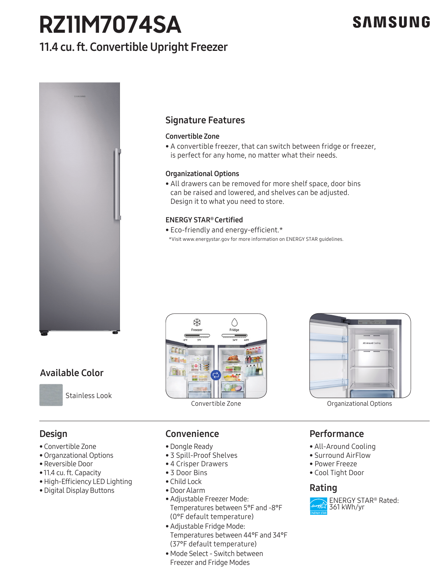# **RZ11M7074SA**

## 11.4 cu. ft. Convertible Upright Freezer





## Signature Features

### Convertible Zone

• A convertible freezer, that can switch between fridge or freezer, is perfect for any home, no matter what their needs.

### Organizational Options

• All drawers can be removed for more shelf space, door bins can be raised and lowered, and shelves can be adjusted. Design it to what you need to store.

### ENERGY STAR® Certified

• Eco-friendly and energy-efficient.\* \*Visit www.energystar.gov for more information on ENERGY STAR guidelines.





### Performance

- All-Around Cooling
- Surround AirFlow
- Power Freeze
- Cool Tight Door

### Rating



## Available Color



Design

• Convertible Zone • Organzational Options • Reversible Door • 11.4 cu. ft. Capacity

Stainless Look

• High-Efficiency LED Lighting • Digital Display Buttons

## Convenience

- Dongle Ready
- ne Dongle Ready<br>
3 Spill-Proof Shelves<br>
4 G.C.
	- 4 Crisper Drawers
	- 3 Door Bins
	- Child Lock
	- Door Alarm
- Temperatures between 5<br>(0°F default temperature)<br>• Adjustable Fridge Mode • Adjustable Freezer Mode: Temperatures between 5°F and -8°F
	- Adjustable Fridge Mode: Temperatures between 44°F and 34°F (37°F default temperature)
	- Mode Select Switch between Freezer and Fridge Modes